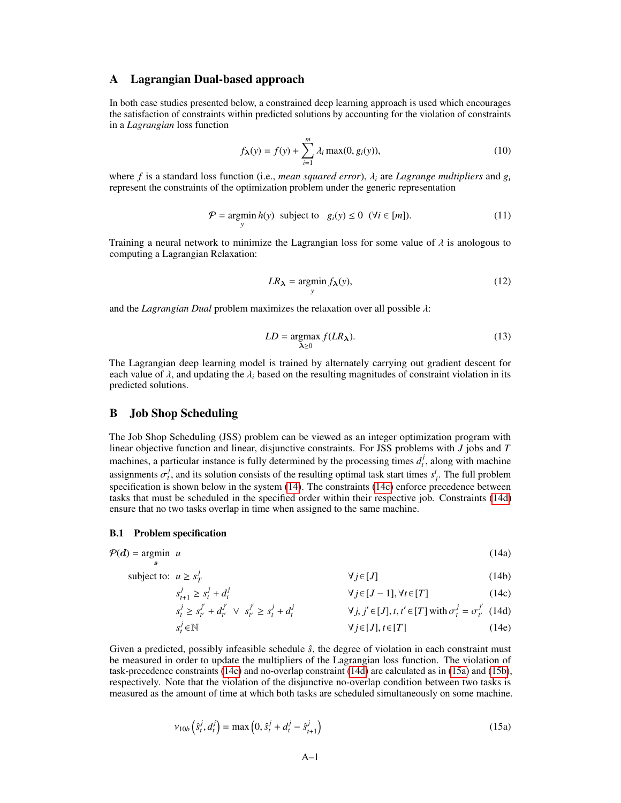## A Lagrangian Dual-based approach

In both case studies presented below, a constrained deep learning approach is used which encourages the satisfaction of constraints within predicted solutions by accounting for the violation of constraints in a *Lagrangian* loss function

$$
f_{\lambda}(y) = f(y) + \sum_{i=1}^{m} \lambda_i \max(0, g_i(y)),
$$
 (10)

where *f* is a standard loss function (i.e., *mean squared error*),  $\lambda_i$  are *Lagrange multipliers* and  $g_i$ represent the constraints of the optimization problem under the generic representation

$$
\mathcal{P} = \underset{y}{\text{argmin}} h(y) \text{ subject to } g_i(y) \le 0 \quad (\forall i \in [m]). \tag{11}
$$

Training a neural network to minimize the Lagrangian loss for some value of  $\lambda$  is anologous to computing a Lagrangian Relaxation:

$$
LR_{\lambda} = \underset{y}{\text{argmin}} f_{\lambda}(y),\tag{12}
$$

and the *Lagrangian Dual* problem maximizes the relaxation over all possible λ:

<span id="page-0-3"></span>
$$
LD = \underset{\lambda \ge 0}{\operatorname{argmax}} f(LR_{\lambda}). \tag{13}
$$

The Lagrangian deep learning model is trained by alternately carrying out gradient descent for each value of  $\lambda$ , and updating the  $\lambda_i$  based on the resulting magnitudes of constraint violation in its predicted solutions.

### <span id="page-0-5"></span>B Job Shop Scheduling

The Job Shop Scheduling (JSS) problem can be viewed as an integer optimization program with linear objective function and linear, disjunctive constraints. For JSS problems with *J* jobs and *T* machines, a particular instance is fully determined by the processing times  $d_t^j$ , along with machine assignments  $\sigma_i^j$ , and its solution consists of the resulting optimal task start times  $s_j^i$ . The full problem<br>specification is shown below in the system (14). The constraints (14c) enforce precedence between specification is shown below in the system [\(14\)](#page-0-0). The constraints [\(14c\)](#page-0-1) enforce precedence between tasks that must be scheduled in the specified order within their respective job. Constraints [\(14d\)](#page-0-2) ensure that no two tasks overlap in time when assigned to the same machine.

### B.1 Problem specification

<span id="page-0-0"></span>
$$
\mathcal{P}(d) = \underset{s}{\text{argmin}} \ u \tag{14a}
$$

subject to:  $u \geq s<sub>7</sub><sup>j</sup>$ *T* ∀ *j*∈[*J*] (14b)

$$
s_{t+1}^j \ge s_t^j + d_t^j \qquad \qquad \forall j \in [J-1], \forall t \in [T] \tag{14c}
$$

<span id="page-0-4"></span><span id="page-0-2"></span><span id="page-0-1"></span>
$$
s_t^j \ge s_{t'}^{j'} + d_{t'}^{j'} \lor s_{t'}^{j'} \ge s_t^j + d_t^j \qquad \forall j, j' \in [J], t, t' \in [T] \text{ with } \sigma_t^j = \sigma_{t'}^{j'} \tag{14d}
$$

$$
s_t^j \in \mathbb{N} \qquad \qquad \forall j \in [J], t \in [T] \qquad (14e)
$$

Given a predicted, possibly infeasible schedule  $\hat{s}$ , the degree of violation in each constraint must be measured in order to update the multipliers of the Lagrangian loss function. The violation of task-precedence constraints [\(14c\)](#page-0-1) and no-overlap constraint [\(14d\)](#page-0-2) are calculated as in [\(15a\)](#page-0-3) and [\(15b\)](#page-0-4), respectively. Note that the violation of the disjunctive no-overlap condition between two tasks is measured as the amount of time at which both tasks are scheduled simultaneously on some machine.

$$
v_{10b}(\hat{s}_t^j, d_t^j) = \max(0, \hat{s}_t^j + d_t^j - \hat{s}_{t+1}^j)
$$
 (15a)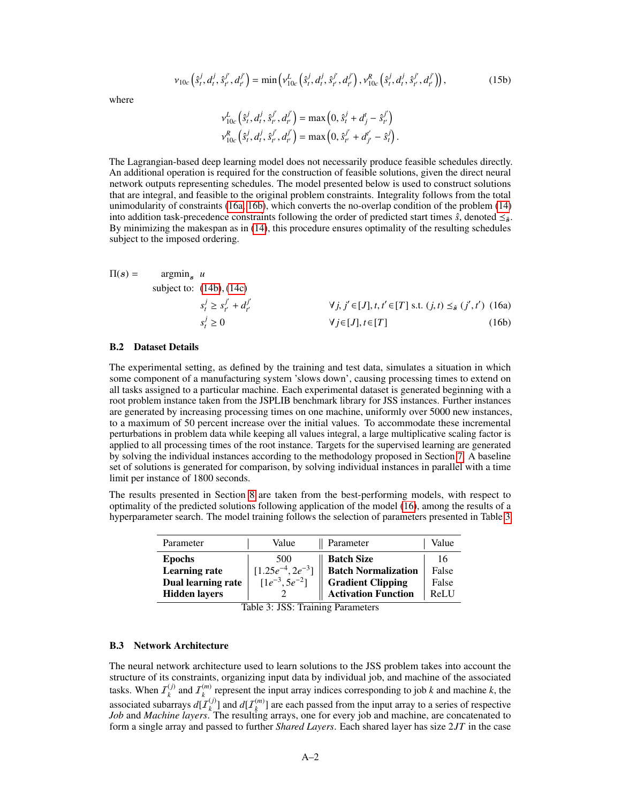$$
v_{10c}(\hat{s}_t^j, d_t^j, \hat{s}_{t'}^{j'}, d_{t'}^{j'}) = \min\left(v_{10c}^L(\hat{s}_t^j, d_t^j, \hat{s}_{t'}^{j'}, d_{t'}^{j'}) , v_{10c}^R(\hat{s}_t^j, d_t^j, \hat{s}_{t'}^{j'}, d_{t'}^{j'})\right),
$$
(15b)

where

$$
v_{10c}^{L}(\hat{s}_{t}^{j}, d_{t}^{j}, \hat{s}_{t'}^{j'}, d_{t'}^{j'}) = \max (0, \hat{s}_{t}^{j} + d_{j}^{t} - \hat{s}_{t'}^{j'})
$$
  

$$
v_{10c}^{R}(\hat{s}_{t}^{j}, d_{t}^{j}, \hat{s}_{t'}^{j'}, d_{t'}^{j'}) = \max (0, \hat{s}_{t'}^{j'} + d_{j'}^{i'} - \hat{s}_{t}^{j}).
$$

The Lagrangian-based deep learning model does not necessarily produce feasible schedules directly. An additional operation is required for the construction of feasible solutions, given the direct neural network outputs representing schedules. The model presented below is used to construct solutions that are integral, and feasible to the original problem constraints. Integrality follows from the total unimodularity of constraints [\(16a,](#page-0-3) [16b\)](#page-0-4), which converts the no-overlap condition of the problem [\(14\)](#page-0-0) into addition task-precedence constraints following the order of predicted start times  $\hat{s}$ , denoted  $\leq_{\hat{s}}$ . By minimizing the makespan as in [\(14\)](#page-0-0), this procedure ensures optimality of the resulting schedules subject to the imposed ordering.

<span id="page-1-0"></span>
$$
\Pi(s) = \operatorname{argmin}_{s} u
$$
\n
$$
\text{subject to:} \quad (14b), (14c)
$$
\n
$$
s_t^j \ge s_{t'}^{j'} + d_{t'}^{j'}
$$
\n
$$
\forall j, j' \in [J], t, t' \in [T] \text{ s.t. } (j, t) \le s_j (j', t') \quad (16a)
$$
\n
$$
s_t^j \ge 0
$$
\n
$$
\forall j \in [J], t \in [T] \quad (16b)
$$

#### B.2 Dataset Details

The experimental setting, as defined by the training and test data, simulates a situation in which some component of a manufacturing system 'slows down', causing processing times to extend on all tasks assigned to a particular machine. Each experimental dataset is generated beginning with a root problem instance taken from the JSPLIB benchmark library for JSS instances. Further instances are generated by increasing processing times on one machine, uniformly over 5000 new instances, to a maximum of 50 percent increase over the initial values. To accommodate these incremental perturbations in problem data while keeping all values integral, a large multiplicative scaling factor is applied to all processing times of the root instance. Targets for the supervised learning are generated by solving the individual instances according to the methodology proposed in Section [7.](#page--1-0) A baseline set of solutions is generated for comparison, by solving individual instances in parallel with a time limit per instance of 1800 seconds.

The results presented in Section [8](#page--1-1) are taken from the best-performing models, with respect to optimality of the predicted solutions following application of the model [\(16\)](#page-1-0), among the results of a hyperparameter search. The model training follows the selection of parameters presented in Table [3.](#page-1-1)

| Parameter            | Value                   | Parameter                  | Value |
|----------------------|-------------------------|----------------------------|-------|
| <b>Epochs</b>        | 500                     | <b>Batch Size</b>          | Iб    |
| <b>Learning rate</b> | $[1.25e^{-4}, 2e^{-3}]$ | <b>Batch Normalization</b> | False |
| Dual learning rate   | $[1e^{-3}, 5e^{-2}]$    | <b>Gradient Clipping</b>   | False |
| <b>Hidden layers</b> |                         | <b>Activation Function</b> | ReLU  |

<span id="page-1-1"></span>Table 3: JSS: Training Parameters

### B.3 Network Architecture

The neural network architecture used to learn solutions to the JSS problem takes into account the structure of its constraints, organizing input data by individual job, and machine of the associated tasks. When  $\mathcal{I}_k^{(j)}$  $\chi_k^{(j)}$  and  $\mathcal{I}_k^{(m)}$  $k_k^{(m)}$  represent the input array indices corresponding to job *k* and machine *k*, the associated subarrays  $d[I_k^{(j)}]$  $\binom{J}{k}$  and  $d[I_k^{(m)}]$  $\binom{m}{k}$  are each passed from the input array to a series of respective *Job* and *Machine layers*. The resulting arrays, one for every job and machine, are concatenated to form a single array and passed to further *Shared Layers*. Each shared layer has size 2*JT* in the case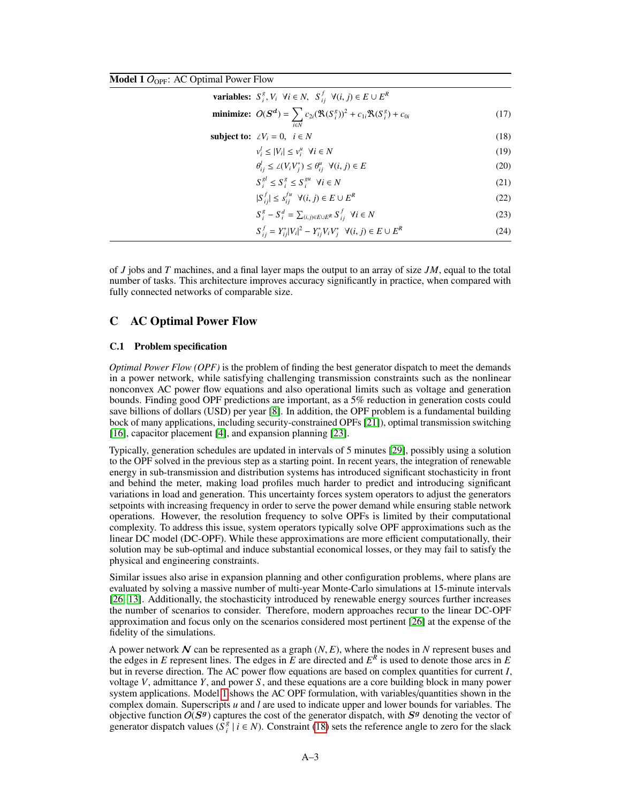<span id="page-2-0"></span>**Model 1**  $O_{\text{OPF}}$ : AC Optimal Power Flow

<span id="page-2-7"></span><span id="page-2-6"></span><span id="page-2-5"></span><span id="page-2-4"></span><span id="page-2-3"></span><span id="page-2-2"></span><span id="page-2-1"></span>

| <b>variables:</b> $S_i^g$ , $V_i$ $\forall i \in N$ , $S_{ii}^f$ $\forall (i, j) \in E \cup E^R$     |      |
|------------------------------------------------------------------------------------------------------|------|
| <b>minimize:</b> $O(S^d) = \sum_{i} c_{2i} (\Re(S_i^g))^2 + c_{1i} \Re(S_i^g) + c_{0i}$<br>$i \in N$ | (17) |
| subject to: $\angle V_i = 0, i \in N$                                                                | (18) |
| $v_i^l \leq  V_i  \leq v_i^u \ \forall i \in N$                                                      | (19) |
| $\theta_{ii}^l \le \angle(V_iV_i^*) \le \theta_{ii}^u \ \ \forall (i, j) \in E$                      | (20) |
| $S_i^{gl} \leq S_i^g \leq S_i^{gu}$ $\forall i \in N$                                                | (21) |
| $ S_{ii}^f  \leq s_{ii}^{fu}$ $\forall (i, j) \in E \cup E^R$                                        | (22) |
| $S_i^g - S_i^d = \sum_{(i,j)\in E\cup E^R} S_{ii}^f$ $\forall i \in N$                               | (23) |
| $S_{ii}^f = Y_{ii}^*  V_i ^2 - Y_{ii}^* V_i V_i^*$ $\forall (i, j) \in E \cup E^R$                   | (24) |

of *J* jobs and *T* machines, and a final layer maps the output to an array of size *JM*, equal to the total number of tasks. This architecture improves accuracy significantly in practice, when compared with fully connected networks of comparable size.

# <span id="page-2-8"></span>C AC Optimal Power Flow

### C.1 Problem specification

*Optimal Power Flow (OPF)* is the problem of finding the best generator dispatch to meet the demands in a power network, while satisfying challenging transmission constraints such as the nonlinear nonconvex AC power flow equations and also operational limits such as voltage and generation bounds. Finding good OPF predictions are important, as a 5% reduction in generation costs could save billions of dollars (USD) per year [\[8\]](#page--1-2). In addition, the OPF problem is a fundamental building bock of many applications, including security-constrained OPFs [\[21\]](#page--1-3)), optimal transmission switching [\[16\]](#page--1-4), capacitor placement [\[4\]](#page--1-5), and expansion planning [\[23\]](#page--1-6).

Typically, generation schedules are updated in intervals of 5 minutes [\[29\]](#page--1-7), possibly using a solution to the OPF solved in the previous step as a starting point. In recent years, the integration of renewable energy in sub-transmission and distribution systems has introduced significant stochasticity in front and behind the meter, making load profiles much harder to predict and introducing significant variations in load and generation. This uncertainty forces system operators to adjust the generators setpoints with increasing frequency in order to serve the power demand while ensuring stable network operations. However, the resolution frequency to solve OPFs is limited by their computational complexity. To address this issue, system operators typically solve OPF approximations such as the linear DC model (DC-OPF). While these approximations are more efficient computationally, their solution may be sub-optimal and induce substantial economical losses, or they may fail to satisfy the physical and engineering constraints.

Similar issues also arise in expansion planning and other configuration problems, where plans are evaluated by solving a massive number of multi-year Monte-Carlo simulations at 15-minute intervals [\[26,](#page--1-8) [13\]](#page--1-9). Additionally, the stochasticity introduced by renewable energy sources further increases the number of scenarios to consider. Therefore, modern approaches recur to the linear DC-OPF approximation and focus only on the scenarios considered most pertinent [\[26\]](#page--1-8) at the expense of the fidelity of the simulations.

A power network <sup>N</sup> can be represented as a graph (*N*, *<sup>E</sup>*), where the nodes in *<sup>N</sup>* represent buses and the edges in  $E$  represent lines. The edges in  $E$  are directed and  $E<sup>R</sup>$  is used to denote those arcs in  $E$ but in reverse direction. The AC power flow equations are based on complex quantities for current *I*, voltage *V*, admittance *Y*, and power *S* , and these equations are a core building block in many power system applications. Model [1](#page-2-0) shows the AC OPF formulation, with variables/quantities shown in the complex domain. Superscripts *u* and *l* are used to indicate upper and lower bounds for variables. The objective function  $O(S^g)$  captures the cost of the generator dispatch, with  $S^g$  denoting the vector of generator dispatch values  $(S_j^g)$  $\binom{g}{i}$  *i* ∈ *N*). Constraint [\(18\)](#page-2-1) sets the reference angle to zero for the slack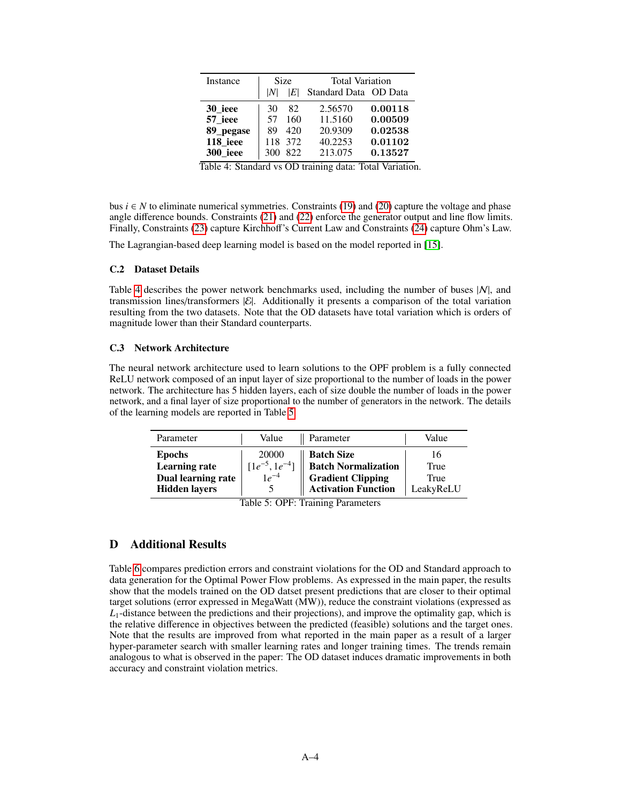<span id="page-3-0"></span>

| Instance                                                | Size |         | <b>Total Variation</b> |         |  |
|---------------------------------------------------------|------|---------|------------------------|---------|--|
|                                                         | ΙNΙ  | ΙEΙ     | Standard Data OD Data  |         |  |
| 30 ieee                                                 | 30   | 82      | 2.56570                | 0.00118 |  |
| 57 ieee                                                 | 57   | 160     | 11.5160                | 0.00509 |  |
| 89_pegase                                               | 89   | 420     | 20.9309                | 0.02538 |  |
| 118 ieee                                                |      | 118 372 | 40.2253                | 0.01102 |  |
| <b>300</b> ieee                                         | 300  | 822     | 213.075                | 0.13527 |  |
| Table 4: Standard vs OD training data: Total Variation. |      |         |                        |         |  |

bus  $i \in N$  to eliminate numerical symmetries. Constraints [\(19\)](#page-2-2) and [\(20\)](#page-2-3) capture the voltage and phase angle difference bounds. Constraints [\(21\)](#page-2-4) and [\(22\)](#page-2-5) enforce the generator output and line flow limits. Finally, Constraints [\(23\)](#page-2-6) capture Kirchhoff's Current Law and Constraints [\(24\)](#page-2-7) capture Ohm's Law.

The Lagrangian-based deep learning model is based on the model reported in [\[15\]](#page--1-10).

#### C.2 Dataset Details

Table [4](#page-3-0) describes the power network benchmarks used, including the number of buses  $|N|$ , and transmission lines/transformers |E|. Additionally it presents a comparison of the total variation resulting from the two datasets. Note that the OD datasets have total variation which is orders of magnitude lower than their Standard counterparts.

#### C.3 Network Architecture

The neural network architecture used to learn solutions to the OPF problem is a fully connected ReLU network composed of an input layer of size proportional to the number of loads in the power network. The architecture has 5 hidden layers, each of size double the number of loads in the power network, and a final layer of size proportional to the number of generators in the network. The details of the learning models are reported in Table [5.](#page-3-1)

| Parameter            | Value                | Parameter                  | Value     |
|----------------------|----------------------|----------------------------|-----------|
| <b>Epochs</b>        | 20000                | <b>Batch Size</b>          | 16        |
| <b>Learning rate</b> | $[1e^{-5}, 1e^{-4}]$ | <b>Batch Normalization</b> | True      |
| Dual learning rate   | $1e^{-4}$            | <b>Gradient Clipping</b>   | True      |
| <b>Hidden layers</b> |                      | <b>Activation Function</b> | LeakyReLU |

<span id="page-3-1"></span>Table 5: OPF: Training Parameters

# D Additional Results

Table [6](#page-4-0) compares prediction errors and constraint violations for the OD and Standard approach to data generation for the Optimal Power Flow problems. As expressed in the main paper, the results show that the models trained on the OD datset present predictions that are closer to their optimal target solutions (error expressed in MegaWatt (MW)), reduce the constraint violations (expressed as  $L_1$ -distance between the predictions and their projections), and improve the optimality gap, which is the relative difference in objectives between the predicted (feasible) solutions and the target ones. Note that the results are improved from what reported in the main paper as a result of a larger hyper-parameter search with smaller learning rates and longer training times. The trends remain analogous to what is observed in the paper: The OD dataset induces dramatic improvements in both accuracy and constraint violation metrics.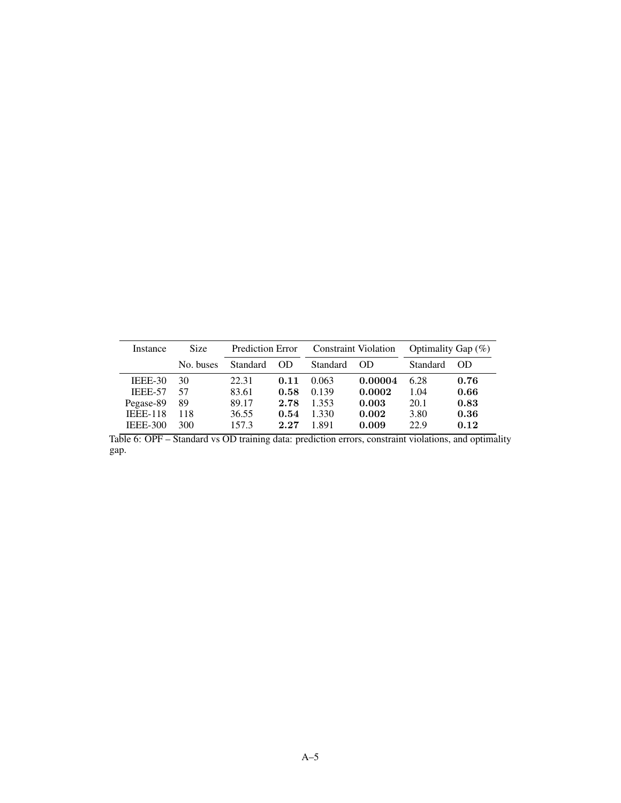<span id="page-4-0"></span>

| Instance        | <b>Size</b> | <b>Prediction Error</b> |      | <b>Constraint Violation</b> |         | Optimality Gap $(\%)$ |      |
|-----------------|-------------|-------------------------|------|-----------------------------|---------|-----------------------|------|
|                 | No. buses   | Standard                | OD   | Standard                    | -OD     | Standard              | OD   |
| IEEE-30         | 30          | 22.31                   | 0.11 | 0.063                       | 0.00004 | 6.28                  | 0.76 |
| IEEE-57         | 57          | 83.61                   | 0.58 | 0.139                       | 0.0002  | 1.04                  | 0.66 |
| Pegase-89       | 89          | 89.17                   | 2.78 | 1.353                       | 0.003   | 20.1                  | 0.83 |
| <b>IEEE-118</b> | 118         | 36.55                   | 0.54 | 1.330                       | 0.002   | 3.80                  | 0.36 |
| IEEE-300        | 300         | 157.3                   | 2.27 | 1.891                       | 0.009   | 22.9                  | 0.12 |

IEEE-300 300 157.3 2.27 1.891 0.009 22.9 0.12<br>Table 6: OPF – Standard vs OD training data: prediction errors, constraint violations, and optimality gap.